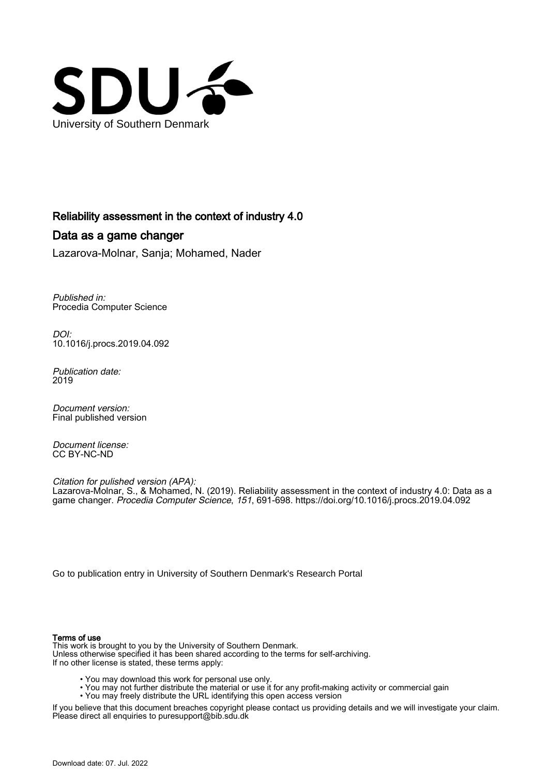

## Reliability assessment in the context of industry 4.0

# Data as a game changer

Lazarova-Molnar, Sanja; Mohamed, Nader

Published in: Procedia Computer Science

DOI: [10.1016/j.procs.2019.04.092](https://doi.org/10.1016/j.procs.2019.04.092)

Publication date: 2019

Document version: Final published version

Document license: CC BY-NC-ND

Citation for pulished version (APA): Lazarova-Molnar, S., & Mohamed, N. (2019). Reliability assessment in the context of industry 4.0: Data as a game changer. Procedia Computer Science, 151, 691-698. <https://doi.org/10.1016/j.procs.2019.04.092>

[Go to publication entry in University of Southern Denmark's Research Portal](https://portal.findresearcher.sdu.dk/en/publications/87b65708-2522-4f3a-ad08-578f6a6da304)

## Terms of use

This work is brought to you by the University of Southern Denmark. Unless otherwise specified it has been shared according to the terms for self-archiving. If no other license is stated, these terms apply:

- You may download this work for personal use only.
- You may not further distribute the material or use it for any profit-making activity or commercial gain
- You may freely distribute the URL identifying this open access version

If you believe that this document breaches copyright please contact us providing details and we will investigate your claim. Please direct all enquiries to puresupport@bib.sdu.dk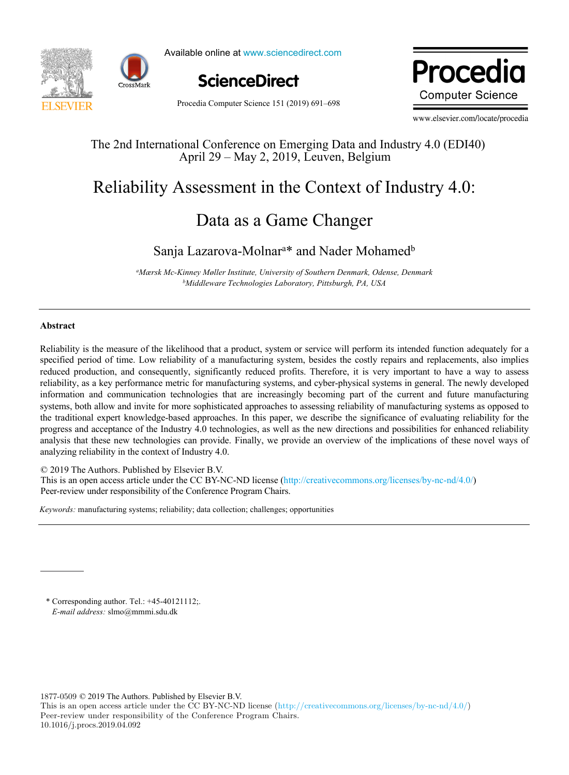



Available online at www.sciencedirect.com



Dwa aaalis ww.edit **Computer Science** 

Procedia Computer Science 151 (2019) 691–698

www.elsevier.com/locate/procedia

## The 2nd International Conference on Emerging Data and Industry 4.0 (EDI40) The 2nd International Conference on Emerging Data and Industry 4.0 (EDI40) April 29 – May 2, 2019, Leuven, Belgium

## Reliability Assessment in the Context of Industry 4.0: Reliability Assessment in the Context of Industry 4.0:

## Data as a Game Changer Data as a Game Changer

### Sanja Lazarova-Molnara \* and Nader Mohamedb *aMærsk Mc-Kinney Møller Institute, University of Southern Denmark, Odense, Denmark* Sanja Lazarova-Molnar<sup>a\*</sup> and Nader Mohamed<sup>b</sup>

*bMiddleware Technologies Laboratory, Pittsburgh, PA, USA aMærsk Mc-Kinney Møller Institute, University of Southern Denmark, Odense, Denmark bMiddleware Technologies Laboratory, Pittsburgh, PA, USA*

### **Abstract**

Reliability is the measure of the likelihood that a product, system or service will perform its intended function adequately for a Reliability is the measure of the likelihood that a product, system or service will perform its intended function adequately for a<br>specified period of time. Low reliability of a manufacturing system, besides the costly rep reduced production, and consequently, significantly reduced profits. Therefore, it is very important to have a way to assess reliability, as a key performance metric for manufacturing systems, and cyber-physical systems in general. The newly developed information and communication technologies that are increasingly becoming part of the current and future manufacturing systems, both allow and invite for more sophisticated approaches to assessing reliability of manufacturing systems as opposed to the traditional expert knowledge-based approaches. In this paper, we describe the significance of evaluating reliability for the the traditional expert knowledge-based approaches. In this paper, we describe the significance of evaluating reliability for the progress and acceptance of the Industry 4.0 technologies, as well as the new directions and p analysis that these new technologies can provide. Finally, we provide an overview of the implications of these novel ways of analyzing reliability in the context of Industry 4.0.

© 2019 The Authors. Published by Elsevier B.V. © 2019 The Authors. Published by Elsevier B.V.

 $\approx$  2019 The Additions. The mission by Eisevici B.V.<br>This is an open access article under the CC BY-NC-ND license ([http://creativecommons.org/licenses/by-nc-nd/4.0/\)](http://creativecommons.org/licenses/by-nc-nd/4.0/) This is an open access article under the Conference Program Chairs. This is an open access article under the conference Program Chairs. Peer-review under responsibility of the Conference Program Chairs. Peer-review under responsibility of the Conference Program Chairs.

*Keywords:* manufacturing systems; reliability; data collection; challenges; opportunities *Keywords:* manufacturing systems; reliability; data collection; challenges; opportunities

\* Corresponding author. Tel.: +45-40121112;. *E-mail address: s\mo@mmmi.sdu.dk* 

1877-0509 © 2019 The Authors. Published by Elsevier B.V.

This is an open access article under the CC BY-NC-ND license (http://creativecommons.org/licenses/by-nc-nd/4.0/) Peer-review under responsibility of the Conference Program Chairs. 10.1016/j.procs.2019.04.092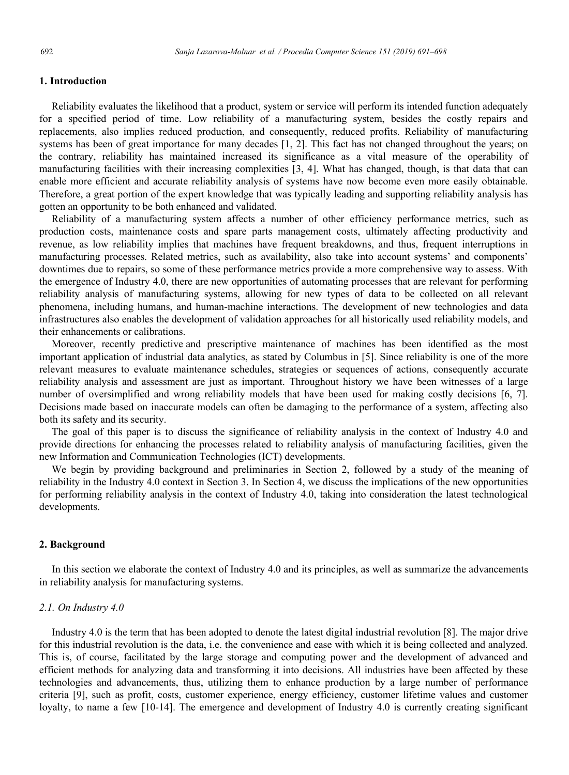## **1. Introduction**

Reliability evaluates the likelihood that a product, system or service will perform its intended function adequately for a specified period of time. Low reliability of a manufacturing system, besides the costly repairs and replacements, also implies reduced production, and consequently, reduced profits. Reliability of manufacturing systems has been of great importance for many decades [1, 2]. This fact has not changed throughout the years; on the contrary, reliability has maintained increased its significance as a vital measure of the operability of manufacturing facilities with their increasing complexities [3, 4]. What has changed, though, is that data that can enable more efficient and accurate reliability analysis of systems have now become even more easily obtainable. Therefore, a great portion of the expert knowledge that was typically leading and supporting reliability analysis has gotten an opportunity to be both enhanced and validated.

Reliability of a manufacturing system affects a number of other efficiency performance metrics, such as production costs, maintenance costs and spare parts management costs, ultimately affecting productivity and revenue, as low reliability implies that machines have frequent breakdowns, and thus, frequent interruptions in manufacturing processes. Related metrics, such as availability, also take into account systems' and components' downtimes due to repairs, so some of these performance metrics provide a more comprehensive way to assess. With the emergence of Industry 4.0, there are new opportunities of automating processes that are relevant for performing reliability analysis of manufacturing systems, allowing for new types of data to be collected on all relevant phenomena, including humans, and human-machine interactions. The development of new technologies and data infrastructures also enables the development of validation approaches for all historically used reliability models, and their enhancements or calibrations.

Moreover, recently predictive and prescriptive maintenance of machines has been identified as the most important application of industrial data analytics, as stated by Columbus in [5]. Since reliability is one of the more relevant measures to evaluate maintenance schedules, strategies or sequences of actions, consequently accurate reliability analysis and assessment are just as important. Throughout history we have been witnesses of a large number of oversimplified and wrong reliability models that have been used for making costly decisions [6, 7]. Decisions made based on inaccurate models can often be damaging to the performance of a system, affecting also both its safety and its security.

The goal of this paper is to discuss the significance of reliability analysis in the context of Industry 4.0 and provide directions for enhancing the processes related to reliability analysis of manufacturing facilities, given the new Information and Communication Technologies (ICT) developments.

We begin by providing background and preliminaries in Section 2, followed by a study of the meaning of reliability in the Industry 4.0 context in Section 3. In Section 4, we discuss the implications of the new opportunities for performing reliability analysis in the context of Industry 4.0, taking into consideration the latest technological developments.

#### **2. Background**

In this section we elaborate the context of Industry 4.0 and its principles, as well as summarize the advancements in reliability analysis for manufacturing systems.

### *2.1. On Industry 4.0*

Industry 4.0 is the term that has been adopted to denote the latest digital industrial revolution [8]. The major drive for this industrial revolution is the data, i.e. the convenience and ease with which it is being collected and analyzed. This is, of course, facilitated by the large storage and computing power and the development of advanced and efficient methods for analyzing data and transforming it into decisions. All industries have been affected by these technologies and advancements, thus, utilizing them to enhance production by a large number of performance criteria [9], such as profit, costs, customer experience, energy efficiency, customer lifetime values and customer loyalty, to name a few [10-14]. The emergence and development of Industry 4.0 is currently creating significant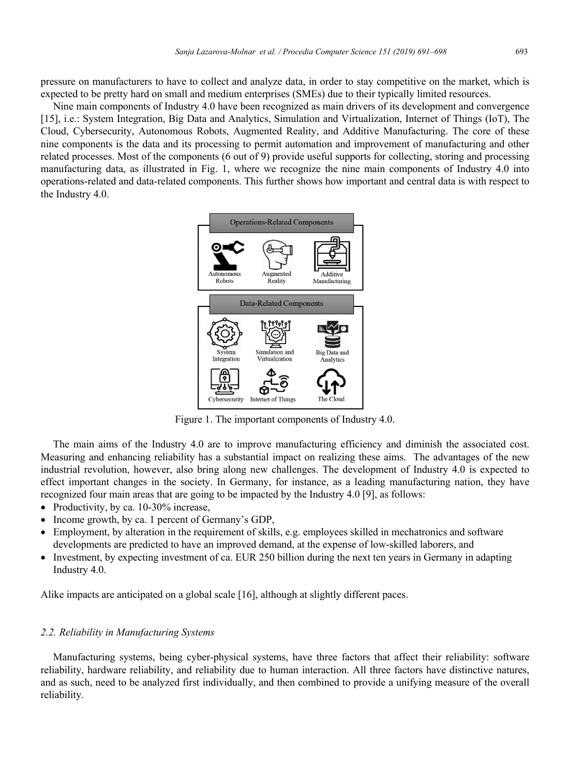pressure on manufacturers to have to collect and analyze data, in order to stay competitive on the market, which is expected to be pretty hard on small and medium enterprises (SMEs) due to their typically limited resources.

Nine main components of Industry 4.0 have been recognized as main drivers of its development and convergence [15], i.e.: System Integration, Big Data and Analytics, Simulation and Virtualization, Internet of Things (IoT), The Cloud, Cybersecurity, Autonomous Robots, Augmented Reality, and Additive Manufacturing. The core of these nine components is the data and its processing to permit automation and improvement of manufacturing and other related processes. Most of the components (6 out of 9) provide useful supports for collecting, storing and processing manufacturing data, as illustrated in Fig. 1, where we recognize the nine main components of Industry 4.0 into operations-related and data-related components. This further shows how important and central data is with respect to the Industry 4.0.



Figure 1. The important components of Industry 4.0.

The main aims of the Industry 4.0 are to improve manufacturing efficiency and diminish the associated cost. Measuring and enhancing reliability has a substantial impact on realizing these aims. The advantages of the new industrial revolution, however, also bring along new challenges. The development of Industry 4.0 is expected to effect important changes in the society. In Germany, for instance, as a leading manufacturing nation, they have recognized four main areas that are going to be impacted by the Industry 4.0 [9], as follows:

- Productivity, by ca. 10-30% increase,
- Income growth, by ca. 1 percent of Germany's GDP,
- Employment, by alteration in the requirement of skills, e.g. employees skilled in mechatronics and software developments are predicted to have an improved demand, at the expense of low-skilled laborers, and
- Investment, by expecting investment of ca. EUR 250 billion during the next ten years in Germany in adapting Industry 4.0.

Alike impacts are anticipated on a global scale [16], although at slightly different paces.

## *2.2. Reliability in Manufacturing Systems*

Manufacturing systems, being cyber-physical systems, have three factors that affect their reliability: software reliability, hardware reliability, and reliability due to human interaction. All three factors have distinctive natures, and as such, need to be analyzed first individually, and then combined to provide a unifying measure of the overall reliability.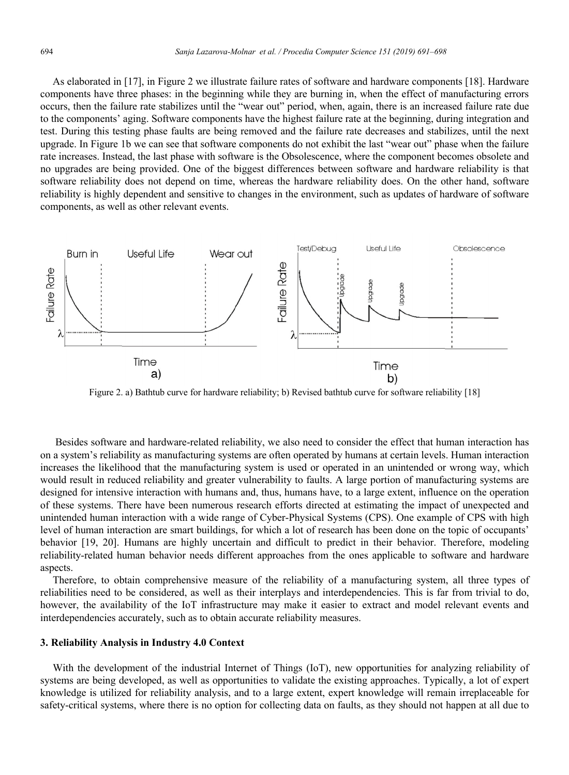As elaborated in [17], in Figure 2 we illustrate failure rates of software and hardware components [18]. Hardware components have three phases: in the beginning while they are burning in, when the effect of manufacturing errors occurs, then the failure rate stabilizes until the "wear out" period, when, again, there is an increased failure rate due to the components' aging. Software components have the highest failure rate at the beginning, during integration and test. During this testing phase faults are being removed and the failure rate decreases and stabilizes, until the next upgrade. In Figure 1b we can see that software components do not exhibit the last "wear out" phase when the failure rate increases. Instead, the last phase with software is the Obsolescence, where the component becomes obsolete and no upgrades are being provided. One of the biggest differences between software and hardware reliability is that software reliability does not depend on time, whereas the hardware reliability does. On the other hand, software reliability is highly dependent and sensitive to changes in the environment, such as updates of hardware of software components, as well as other relevant events.



Figure 2. a) Bathtub curve for hardware reliability; b) Revised bathtub curve for software reliability [18]

Besides software and hardware-related reliability, we also need to consider the effect that human interaction has on a system's reliability as manufacturing systems are often operated by humans at certain levels. Human interaction increases the likelihood that the manufacturing system is used or operated in an unintended or wrong way, which would result in reduced reliability and greater vulnerability to faults. A large portion of manufacturing systems are designed for intensive interaction with humans and, thus, humans have, to a large extent, influence on the operation of these systems. There have been numerous research efforts directed at estimating the impact of unexpected and unintended human interaction with a wide range of Cyber-Physical Systems (CPS). One example of CPS with high level of human interaction are smart buildings, for which a lot of research has been done on the topic of occupants' behavior [19, 20]. Humans are highly uncertain and difficult to predict in their behavior. Therefore, modeling reliability-related human behavior needs different approaches from the ones applicable to software and hardware aspects.

Therefore, to obtain comprehensive measure of the reliability of a manufacturing system, all three types of reliabilities need to be considered, as well as their interplays and interdependencies. This is far from trivial to do, however, the availability of the IoT infrastructure may make it easier to extract and model relevant events and interdependencies accurately, such as to obtain accurate reliability measures.

#### **3. Reliability Analysis in Industry 4.0 Context**

With the development of the industrial Internet of Things (IoT), new opportunities for analyzing reliability of systems are being developed, as well as opportunities to validate the existing approaches. Typically, a lot of expert knowledge is utilized for reliability analysis, and to a large extent, expert knowledge will remain irreplaceable for safety-critical systems, where there is no option for collecting data on faults, as they should not happen at all due to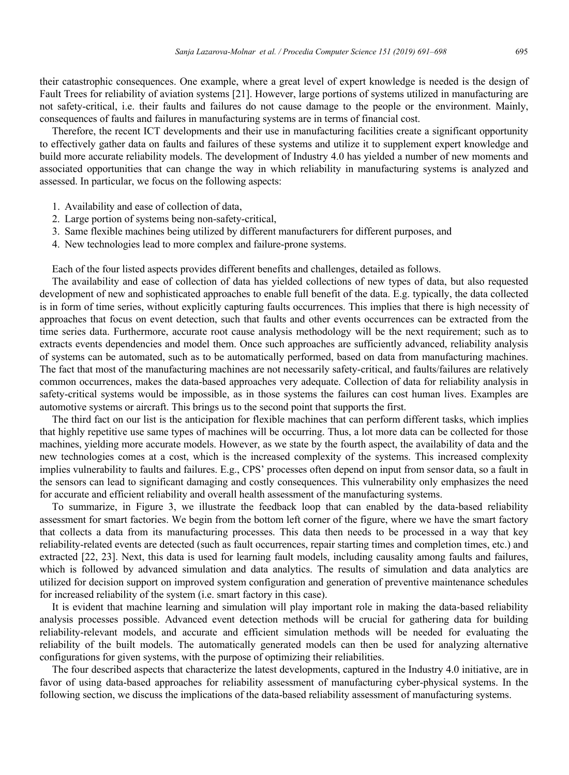their catastrophic consequences. One example, where a great level of expert knowledge is needed is the design of Fault Trees for reliability of aviation systems [21]. However, large portions of systems utilized in manufacturing are not safety-critical, i.e. their faults and failures do not cause damage to the people or the environment. Mainly, consequences of faults and failures in manufacturing systems are in terms of financial cost.

Therefore, the recent ICT developments and their use in manufacturing facilities create a significant opportunity to effectively gather data on faults and failures of these systems and utilize it to supplement expert knowledge and build more accurate reliability models. The development of Industry 4.0 has yielded a number of new moments and associated opportunities that can change the way in which reliability in manufacturing systems is analyzed and assessed. In particular, we focus on the following aspects:

- 1. Availability and ease of collection of data,
- 2. Large portion of systems being non-safety-critical,
- 3. Same flexible machines being utilized by different manufacturers for different purposes, and
- 4. New technologies lead to more complex and failure-prone systems.

Each of the four listed aspects provides different benefits and challenges, detailed as follows.

The availability and ease of collection of data has yielded collections of new types of data, but also requested development of new and sophisticated approaches to enable full benefit of the data. E.g. typically, the data collected is in form of time series, without explicitly capturing faults occurrences. This implies that there is high necessity of approaches that focus on event detection, such that faults and other events occurrences can be extracted from the time series data. Furthermore, accurate root cause analysis methodology will be the next requirement; such as to extracts events dependencies and model them. Once such approaches are sufficiently advanced, reliability analysis of systems can be automated, such as to be automatically performed, based on data from manufacturing machines. The fact that most of the manufacturing machines are not necessarily safety-critical, and faults/failures are relatively common occurrences, makes the data-based approaches very adequate. Collection of data for reliability analysis in safety-critical systems would be impossible, as in those systems the failures can cost human lives. Examples are automotive systems or aircraft. This brings us to the second point that supports the first.

The third fact on our list is the anticipation for flexible machines that can perform different tasks, which implies that highly repetitive use same types of machines will be occurring. Thus, a lot more data can be collected for those machines, yielding more accurate models. However, as we state by the fourth aspect, the availability of data and the new technologies comes at a cost, which is the increased complexity of the systems. This increased complexity implies vulnerability to faults and failures. E.g., CPS' processes often depend on input from sensor data, so a fault in the sensors can lead to significant damaging and costly consequences. This vulnerability only emphasizes the need for accurate and efficient reliability and overall health assessment of the manufacturing systems.

To summarize, in Figure 3, we illustrate the feedback loop that can enabled by the data-based reliability assessment for smart factories. We begin from the bottom left corner of the figure, where we have the smart factory that collects a data from its manufacturing processes. This data then needs to be processed in a way that key reliability-related events are detected (such as fault occurrences, repair starting times and completion times, etc.) and extracted [22, 23]. Next, this data is used for learning fault models, including causality among faults and failures, which is followed by advanced simulation and data analytics. The results of simulation and data analytics are utilized for decision support on improved system configuration and generation of preventive maintenance schedules for increased reliability of the system (i.e. smart factory in this case).

It is evident that machine learning and simulation will play important role in making the data-based reliability analysis processes possible. Advanced event detection methods will be crucial for gathering data for building reliability-relevant models, and accurate and efficient simulation methods will be needed for evaluating the reliability of the built models. The automatically generated models can then be used for analyzing alternative configurations for given systems, with the purpose of optimizing their reliabilities.

The four described aspects that characterize the latest developments, captured in the Industry 4.0 initiative, are in favor of using data-based approaches for reliability assessment of manufacturing cyber-physical systems. In the following section, we discuss the implications of the data-based reliability assessment of manufacturing systems.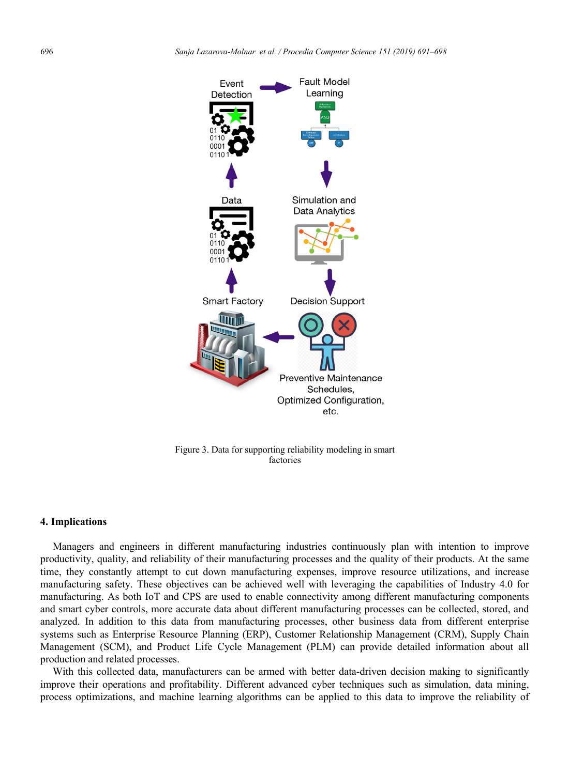

Figure 3. Data for supporting reliability modeling in smart factories

#### **4. Implications**

Managers and engineers in different manufacturing industries continuously plan with intention to improve productivity, quality, and reliability of their manufacturing processes and the quality of their products. At the same time, they constantly attempt to cut down manufacturing expenses, improve resource utilizations, and increase manufacturing safety. These objectives can be achieved well with leveraging the capabilities of Industry 4.0 for manufacturing. As both IoT and CPS are used to enable connectivity among different manufacturing components and smart cyber controls, more accurate data about different manufacturing processes can be collected, stored, and analyzed. In addition to this data from manufacturing processes, other business data from different enterprise systems such as Enterprise Resource Planning (ERP), Customer Relationship Management (CRM), Supply Chain Management (SCM), and Product Life Cycle Management (PLM) can provide detailed information about all production and related processes.

With this collected data, manufacturers can be armed with better data-driven decision making to significantly improve their operations and profitability. Different advanced cyber techniques such as simulation, data mining, process optimizations, and machine learning algorithms can be applied to this data to improve the reliability of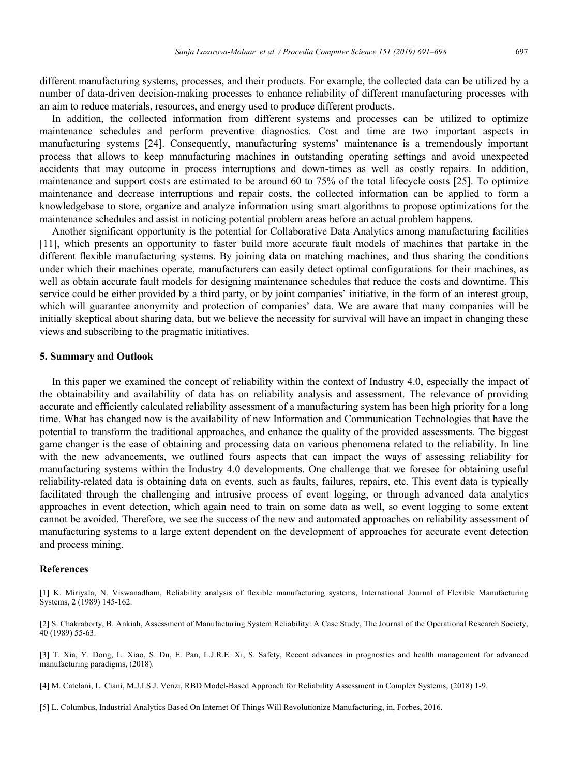different manufacturing systems, processes, and their products. For example, the collected data can be utilized by a number of data-driven decision-making processes to enhance reliability of different manufacturing processes with an aim to reduce materials, resources, and energy used to produce different products.

In addition, the collected information from different systems and processes can be utilized to optimize maintenance schedules and perform preventive diagnostics. Cost and time are two important aspects in manufacturing systems [24]. Consequently, manufacturing systems' maintenance is a tremendously important process that allows to keep manufacturing machines in outstanding operating settings and avoid unexpected accidents that may outcome in process interruptions and down-times as well as costly repairs. In addition, maintenance and support costs are estimated to be around 60 to 75% of the total lifecycle costs [25]. To optimize maintenance and decrease interruptions and repair costs, the collected information can be applied to form a knowledgebase to store, organize and analyze information using smart algorithms to propose optimizations for the maintenance schedules and assist in noticing potential problem areas before an actual problem happens.

Another significant opportunity is the potential for Collaborative Data Analytics among manufacturing facilities [11], which presents an opportunity to faster build more accurate fault models of machines that partake in the different flexible manufacturing systems. By joining data on matching machines, and thus sharing the conditions under which their machines operate, manufacturers can easily detect optimal configurations for their machines, as well as obtain accurate fault models for designing maintenance schedules that reduce the costs and downtime. This service could be either provided by a third party, or by joint companies' initiative, in the form of an interest group, which will guarantee anonymity and protection of companies' data. We are aware that many companies will be initially skeptical about sharing data, but we believe the necessity for survival will have an impact in changing these views and subscribing to the pragmatic initiatives.

#### **5. Summary and Outlook**

In this paper we examined the concept of reliability within the context of Industry 4.0, especially the impact of the obtainability and availability of data has on reliability analysis and assessment. The relevance of providing accurate and efficiently calculated reliability assessment of a manufacturing system has been high priority for a long time. What has changed now is the availability of new Information and Communication Technologies that have the potential to transform the traditional approaches, and enhance the quality of the provided assessments. The biggest game changer is the ease of obtaining and processing data on various phenomena related to the reliability. In line with the new advancements, we outlined fours aspects that can impact the ways of assessing reliability for manufacturing systems within the Industry 4.0 developments. One challenge that we foresee for obtaining useful reliability-related data is obtaining data on events, such as faults, failures, repairs, etc. This event data is typically facilitated through the challenging and intrusive process of event logging, or through advanced data analytics approaches in event detection, which again need to train on some data as well, so event logging to some extent cannot be avoided. Therefore, we see the success of the new and automated approaches on reliability assessment of manufacturing systems to a large extent dependent on the development of approaches for accurate event detection and process mining.

#### **References**

[1] K. Miriyala, N. Viswanadham, Reliability analysis of flexible manufacturing systems, International Journal of Flexible Manufacturing Systems, 2 (1989) 145-162.

[2] S. Chakraborty, B. Ankiah, Assessment of Manufacturing System Reliability: A Case Study, The Journal of the Operational Research Society, 40 (1989) 55-63.

[3] T. Xia, Y. Dong, L. Xiao, S. Du, E. Pan, L.J.R.E. Xi, S. Safety, Recent advances in prognostics and health management for advanced manufacturing paradigms, (2018).

[4] M. Catelani, L. Ciani, M.J.I.S.J. Venzi, RBD Model-Based Approach for Reliability Assessment in Complex Systems, (2018) 1-9.

[5] L. Columbus, Industrial Analytics Based On Internet Of Things Will Revolutionize Manufacturing, in, Forbes, 2016.